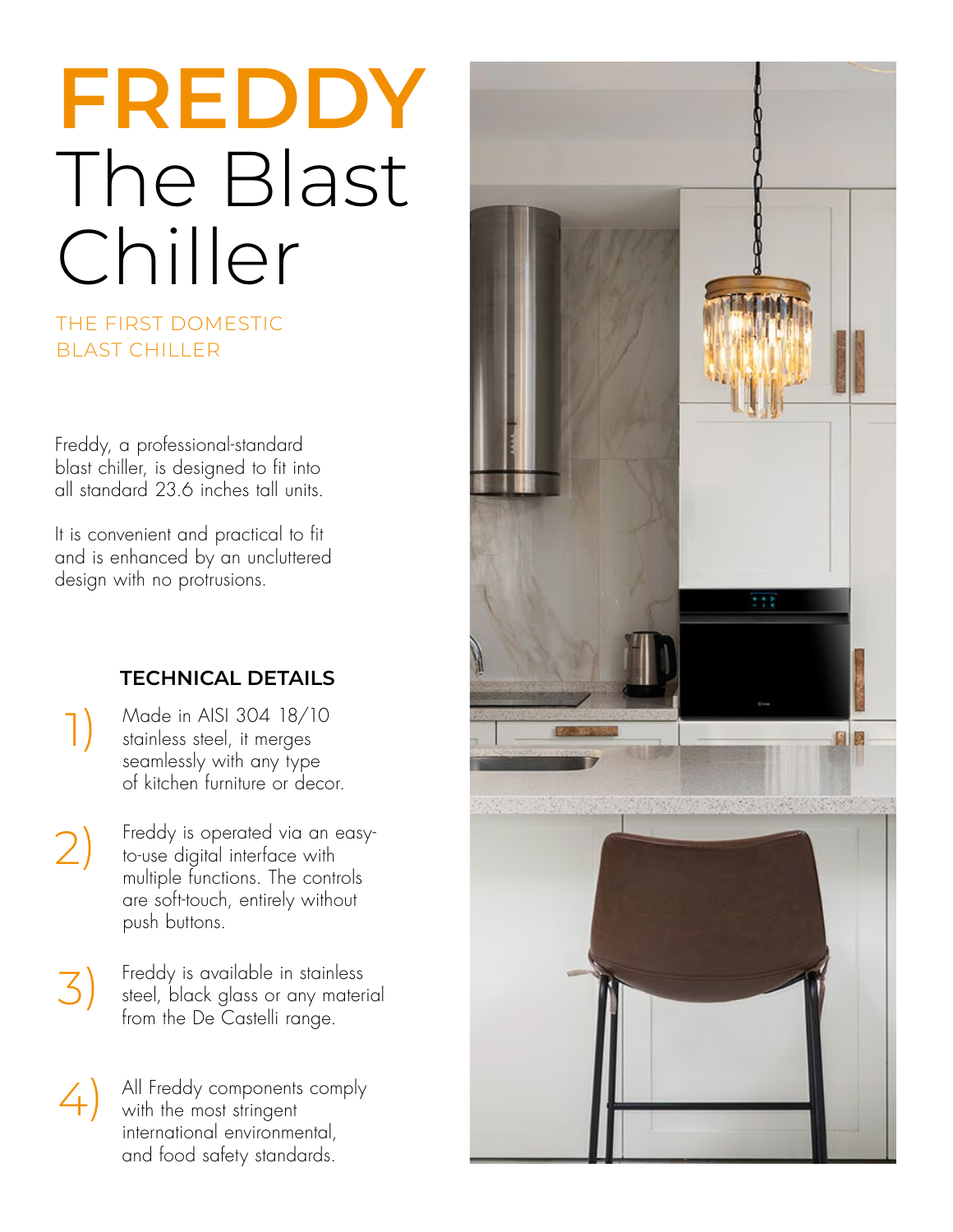# **FREDDY** The Blast Chiller

# THE FIRST DOMESTIC BLAST CHILLER

Freddy, a professional-standard blast chiller, is designed to fit into all standard 23.6 inches tall units.

It is convenient and practical to fit and is enhanced by an uncluttered design with no protrusions.

# **TECHNICAL DETAILS**

Made in AISI 304 18/10 stainless steel, it merges seamlessly with any type of kitchen furniture or decor.

1)

- 2) Freddy is operated via an easyto-use digital interface with multiple functions. The controls are soft-touch, entirely without push buttons.
- 3) Freddy is available in stainless steel, black glass or any material from the De Castelli range.
- 4) All Freddy components comply with the most stringent international environmental, and food safety standards.